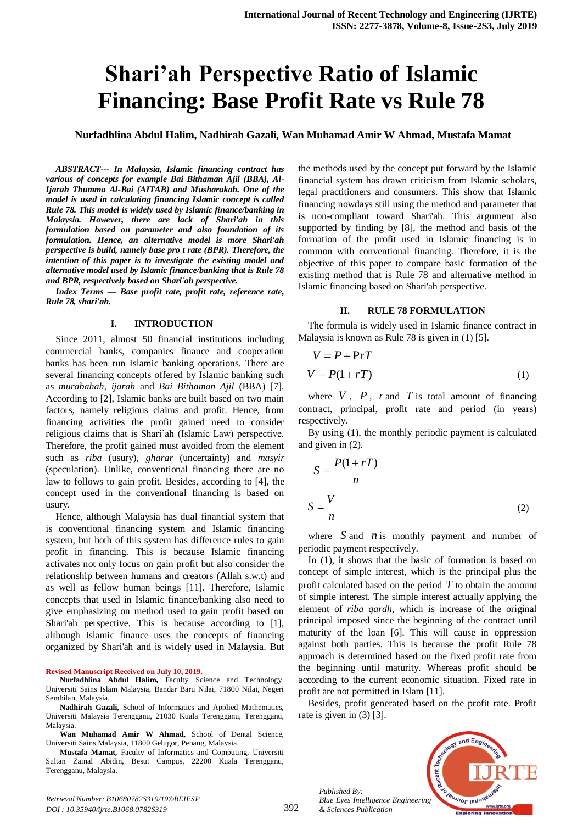# **Shari'ah Perspective Ratio of Islamic Financing: Base Profit Rate vs Rule 78**

**Nurfadhlina Abdul Halim, Nadhirah Gazali, Wan Muhamad Amir W Ahmad, Mustafa Mamat**

*ABSTRACT--- In Malaysia, Islamic financing contract has various of concepts for example Bai Bithaman Ajil (BBA), Al-Ijarah Thumma Al-Bai (AITAB) and Musharakah. One of the model is used in calculating financing Islamic concept is called Rule 78. This model is widely used by Islamic finance/banking in Malaysia. However, there are lack of Shari'ah in this formulation based on parameter and also foundation of its formulation. Hence, an alternative model is more Shari'ah perspective is build, namely base pro t rate (BPR). Therefore, the intention of this paper is to investigate the existing model and alternative model used by Islamic finance/banking that is Rule 78 and BPR, respectively based on Shari'ah perspective.*

*Index Terms — Base profit rate, profit rate, reference rate, Rule 78, shari'ah.*

#### **I. INTRODUCTION**

Since 2011, almost 50 financial institutions including commercial banks, companies finance and cooperation banks has been run Islamic banking operations. There are several financing concepts offered by Islamic banking such as *murabahah*, *ijarah* and *Bai Bithaman Ajil* (BBA) [7]. According to [2], Islamic banks are built based on two main factors, namely religious claims and profit. Hence, from financing activities the profit gained need to consider religious claims that is Shari'ah (Islamic Law) perspective. Therefore, the profit gained must avoided from the element such as *riba* (usury), *gharar* (uncertainty) and *masyir* (speculation). Unlike, conventional financing there are no law to follows to gain profit. Besides, according to [4], the concept used in the conventional financing is based on usury.

Hence, although Malaysia has dual financial system that is conventional financing system and Islamic financing system, but both of this system has difference rules to gain profit in financing. This is because Islamic financing activates not only focus on gain profit but also consider the relationship between humans and creators (Allah s.w.t) and as well as fellow human beings [11]. Therefore, Islamic concepts that used in Islamic finance/banking also need to give emphasizing on method used to gain profit based on Shari'ah perspective. This is because according to [1], although Islamic finance uses the concepts of financing organized by Shari'ah and is widely used in Malaysia. But

**Revised Manuscript Received on July 10, 2019.**

 $\overline{a}$ 

the methods used by the concept put forward by the Islamic financial system has drawn criticism from Islamic scholars, legal practitioners and consumers. This show that Islamic financing nowdays still using the method and parameter that is non-compliant toward Shari'ah. This argument also supported by finding by [8], the method and basis of the formation of the profit used in Islamic financing is in common with conventional financing. Therefore, it is the objective of this paper to compare basic formation of the existing method that is Rule 78 and alternative method in Islamic financing based on Shari'ah perspective.

#### **II. RULE 78 FORMULATION**

The formula is widely used in Islamic finance contract in Malaysia is known as Rule 78 is given in (1) [5].

$$
V = P + PrT
$$
  

$$
V = P(1 + rT)
$$
 (1)

where  $V$ ,  $P$ ,  $r$  and  $T$  is total amount of financing contract, principal, profit rate and period (in years) respectively.

By using (1), the monthly periodic payment is calculated and given in (2).

$$
S = \frac{P(1+rT)}{n}
$$
  

$$
S = \frac{V}{n}
$$
 (2)

where  $S$  and  $n$  is monthly payment and number of periodic payment respectively.

In (1), it shows that the basic of formation is based on concept of simple interest, which is the principal plus the profit calculated based on the period  $T$  to obtain the amount of simple interest. The simple interest actually applying the element of *riba qardh*, which is increase of the original principal imposed since the beginning of the contract until maturity of the loan [6]. This will cause in oppression against both parties. This is because the profit Rule 78 approach is determined based on the fixed profit rate from the beginning until maturity. Whereas profit should be according to the current economic situation. Fixed rate in profit are not permitted in Islam [11].

Besides, profit generated based on the profit rate. Profit rate is given in (3) [3].



*Published By: Blue Eyes Intelligence Engineering & Sciences Publication* 

**Nurfadhlina Abdul Halim,** Faculty Science and Technology, Universiti Sains Islam Malaysia, Bandar Baru Nilai, 71800 Nilai, Negeri Sembilan, Malaysia.

**Nadhirah Gazali,** School of Informatics and Applied Mathematics, Universiti Malaysia Terengganu, 21030 Kuala Terengganu, Terengganu, Malaysia.

**Wan Muhamad Amir W Ahmad,** School of Dental Science, Universiti Sains Malaysia, 11800 Gelugor, Penang, Malaysia.

**Mustafa Mamat,** Faculty of Informatics and Computing, Universiti Sultan Zainal Abidin, Besut Campus, 22200 Kuala Terengganu, Terengganu, Malaysia.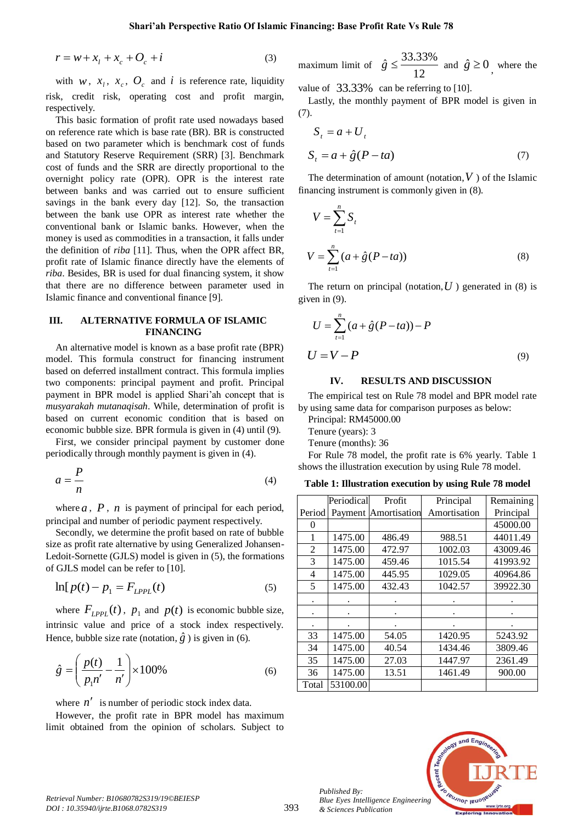$$
r = w + xl + xc + Oc + i
$$
 (3)

with  $w$ ,  $x_i$ ,  $x_c$ ,  $\mathcal{O}_c$  and  $i$  is reference rate, liquidity risk, credit risk, operating cost and profit margin, respectively.

This basic formation of profit rate used nowadays based on reference rate which is base rate (BR). BR is constructed based on two parameter which is benchmark cost of funds and Statutory Reserve Requirement (SRR) [3]. Benchmark cost of funds and the SRR are directly proportional to the overnight policy rate (OPR). OPR is the interest rate between banks and was carried out to ensure sufficient savings in the bank every day [12]. So, the transaction between the bank use OPR as interest rate whether the conventional bank or Islamic banks. However, when the money is used as commodities in a transaction, it falls under the definition of *riba* [11]. Thus, when the OPR affect BR, profit rate of Islamic finance directly have the elements of *riba*. Besides, BR is used for dual financing system, it show that there are no difference between parameter used in Islamic finance and conventional finance [9].

#### **III. ALTERNATIVE FORMULA OF ISLAMIC FINANCING**

An alternative model is known as a base profit rate (BPR) model. This formula construct for financing instrument based on deferred installment contract. This formula implies two components: principal payment and profit. Principal payment in BPR model is applied Shari'ah concept that is *musyarakah mutanaqisah*. While, determination of profit is based on current economic condition that is based on economic bubble size. BPR formula is given in (4) until (9).

First, we consider principal payment by customer done periodically through monthly payment is given in (4).

$$
a = \frac{P}{n} \tag{4}
$$

where  $a$ ,  $P$ ,  $n$  is payment of principal for each period, principal and number of periodic payment respectively.

Secondly, we determine the profit based on rate of bubble size as profit rate alternative by using Generalized Johansen-Ledoit-Sornette (GJLS) model is given in (5), the formations of GJLS model can be refer to [10].

$$
\ln[p(t) - p_1 = F_{LPPL}(t) \tag{5}
$$

where  $F_{LPPL}(t)$ ,  $p_1$  and  $p(t)$  is economic bubble size, intrinsic value and price of a stock index respectively. Hence, bubble size rate (notation,  $\hat{g}$ ) is given in (6).

$$
\hat{g} = \left(\frac{p(t)}{p_1 n'} - \frac{1}{n'}\right) \times 100\%
$$
\n(6)

where  $n'$  is number of periodic stock index data.

However, the profit rate in BPR model has maximum limit obtained from the opinion of scholars. Subject to

maximum limit of 
$$
\hat{g} \le \frac{33.33\%}{12}
$$
 and  $\hat{g} \ge 0$ , where the

value of  $33.33\%$  can be referring to [10].

Lastly, the monthly payment of BPR model is given in (7).

$$
S_t = a + U_t
$$
  
\n
$$
S_t = a + \hat{g}(P - ta)
$$
\n(7)

The determination of amount (notation,  $V$  ) of the Islamic financing instrument is commonly given in (8).

$$
V = \sum_{t=1}^{n} S_{t}
$$
  

$$
V = \sum_{t=1}^{n} (a + \hat{g}(P - ta))
$$
 (8)

The return on principal (notation,  $U$ ) generated in (8) is given in (9).

$$
U = \sum_{t=1}^{n} (a + \hat{g}(P - ta)) - P
$$
  
 
$$
U = V - P
$$
 (9)

### **IV. RESULTS AND DISCUSSION**

The empirical test on Rule 78 model and BPR model rate by using same data for comparison purposes as below:

Principal: RM45000.00

Tenure (years): 3

Tenure (months): 36

For Rule 78 model, the profit rate is 6% yearly. Table 1 shows the illustration execution by using Rule 78 model.

**Table 1: Illustration execution by using Rule 78 model**

|                | Periodical | Profit                      | Principal    | Remaining |
|----------------|------------|-----------------------------|--------------|-----------|
|                |            |                             |              |           |
| Period         |            | <b>Payment Amortisation</b> | Amortisation | Principal |
| 0              |            |                             |              | 45000.00  |
| 1              | 1475.00    | 486.49                      | 988.51       | 44011.49  |
| 2              | 1475.00    | 472.97                      | 1002.03      | 43009.46  |
| 3              | 1475.00    | 459.46                      | 1015.54      | 41993.92  |
| $\overline{4}$ | 1475.00    | 445.95                      | 1029.05      | 40964.86  |
| 5              | 1475.00    | 432.43                      | 1042.57      | 39922.30  |
|                |            |                             |              |           |
|                |            |                             |              |           |
| ٠              |            |                             |              |           |
| 33             | 1475.00    | 54.05                       | 1420.95      | 5243.92   |
| 34             | 1475.00    | 40.54                       | 1434.46      | 3809.46   |
| 35             | 1475.00    | 27.03                       | 1447.97      | 2361.49   |
| 36             | 1475.00    | 13.51                       | 1461.49      | 900.00    |
| Total          | 53100.00   |                             |              |           |



*Published By:*

*& Sciences Publication*